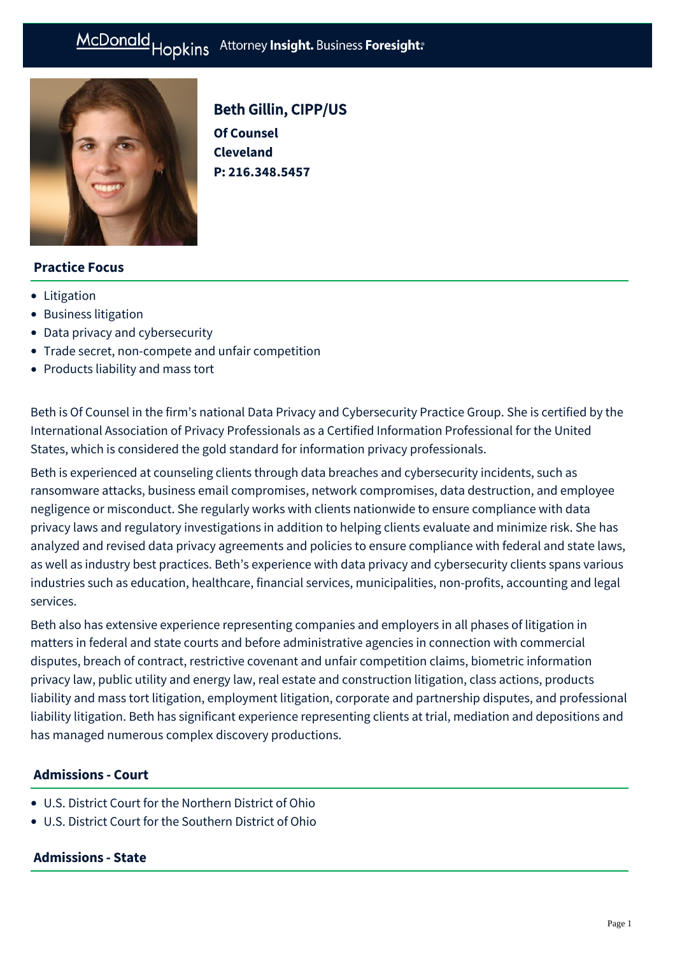# McDonald Hopkins Attorney Insight. Business Foresight:



# Beth Gillin, CIPP/US

**Of Counsel Cleveland P: [216.348.5457](tel:216.348.5457)**

### **Practice Focus**

- [Litigation](https://mcdonaldhopkins.com/Expertise/Litigation)
- [Business litigation](https://mcdonaldhopkins.com/Expertise/Litigation/Business-litigation)
- [Data privacy and cybersecurity](https://mcdonaldhopkins.com/Expertise/Data-privacy-and-cybersecurity)
- [Trade secret, non-compete and unfair competition](https://mcdonaldhopkins.com/Expertise/Litigation/Tradesecret-noncompete-unfair-competition)
- [Products liability and mass tort](https://mcdonaldhopkins.com/Expertise/Litigation/Products-liability-and-mass-tort)

Beth is Of Counsel in the firm's national Data Privacy and Cybersecurity Practice Group. She is certified by the International Association of Privacy Professionals as a Certified Information Professional for the United States, which is considered the gold standard for information privacy professionals.

Beth is experienced at counseling clients through data breaches and cybersecurity incidents, such as ransomware attacks, business email compromises, network compromises, data destruction, and employee negligence or misconduct. She regularly works with clients nationwide to ensure compliance with data privacy laws and regulatory investigations in addition to helping clients evaluate and minimize risk. She has analyzed and revised data privacy agreements and policies to ensure compliance with federal and state laws, as well as industry best practices. Beth's experience with data privacy and cybersecurity clients spans various industries such as education, healthcare, financial services, municipalities, non-profits, accounting and legal services.

Beth also has extensive experience representing companies and employers in all phases of litigation in matters in federal and state courts and before administrative agencies in connection with commercial disputes, breach of contract, restrictive covenant and unfair competition claims, biometric information privacy law, public utility and energy law, real estate and construction litigation, class actions, products liability and mass tort litigation, employment litigation, corporate and partnership disputes, and professional liability litigation. Beth has significant experience representing clients at trial, mediation and depositions and has managed numerous complex discovery productions.

### **Admissions - Court**

- U.S. District Court for the Northern District of Ohio
- U.S. District Court for the Southern District of Ohio

#### **Admissions - State**